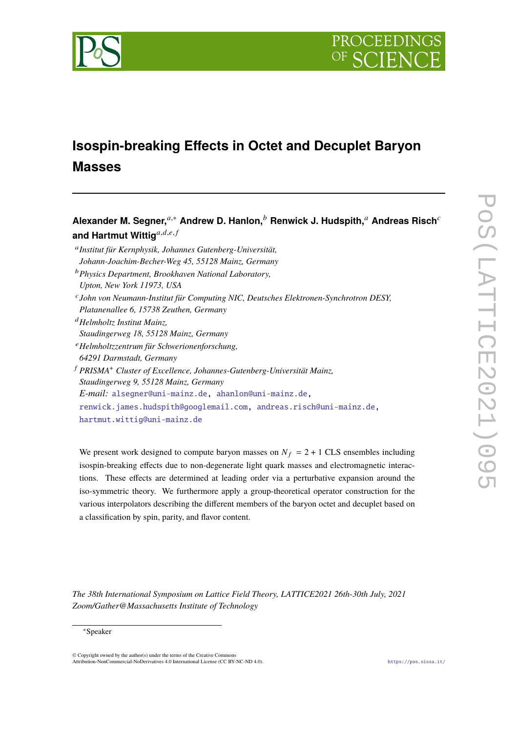

# **Isospin-breaking Effects in Octet and Decuplet Baryon Masses**

**Alexander M. Segner,**<sup>a,\*</sup> Andrew D. Hanlon,<sup>b</sup> Renwick J. Hudspith,<sup>a</sup> Andreas Risch<sup>c</sup> and Hartmut Wittig<sup>a,d,e,f</sup> 𝑎 *Institut für Kernphysik, Johannes Gutenberg-Universität,*

*Johann-Joachim-Becher-Weg 45, 55128 Mainz, Germany*

- <sup>𝑏</sup>*Physics Department, Brookhaven National Laboratory, Upton, New York 11973, USA*
- 𝑐 *John von Neumann-Institut für Computing NIC, Deutsches Elektronen-Synchrotron DESY, Platanenallee 6, 15738 Zeuthen, Germany*
- <sup>𝑑</sup>*Helmholtz Institut Mainz,*
- *Staudingerweg 18, 55128 Mainz, Germany*
- <sup>𝑒</sup>*Helmholtzzentrum für Schwerionenforschung,*
- *64291 Darmstadt, Germany*
- <sup>𝑓</sup> *PRISMA*<sup>+</sup> *Cluster of Excellence, Johannes-Gutenberg-Universität Mainz, Staudingerweg 9, 55128 Mainz, Germany E-mail:* [alsegner@uni-mainz.de,](mailto:alsegner@uni-mainz.de) [ahanlon@uni-mainz.de,](mailto:ahanlon@uni-mainz.de) [renwick.james.hudspith@googlemail.com,](mailto:renwick.james.hudspith@googlemail.com) [andreas.risch@uni-mainz.de,](mailto:andreas.risch@uni-mainz.de) [hartmut.wittig@uni-mainz.de](mailto:hartmut.wittig@uni-mainz.de)

We present work designed to compute baryon masses on  $N_f = 2 + 1$  CLS ensembles including isospin-breaking effects due to non-degenerate light quark masses and electromagnetic interactions. These effects are determined at leading order via a perturbative expansion around the iso-symmetric theory. We furthermore apply a group-theoretical operator construction for the various interpolators describing the different members of the baryon octet and decuplet based on a classification by spin, parity, and flavor content.

*The 38th International Symposium on Lattice Field Theory, LATTICE2021 26th-30th July, 2021 Zoom/Gather@Massachusetts Institute of Technology*

<sup>∗</sup>Speaker

<sup>©</sup> Copyright owned by the author(s) under the terms of the Creative Commons Attribution-NonCommercial-NoDerivatives 4.0 International License (CC BY-NC-ND 4.0). <https://pos.sissa.it/>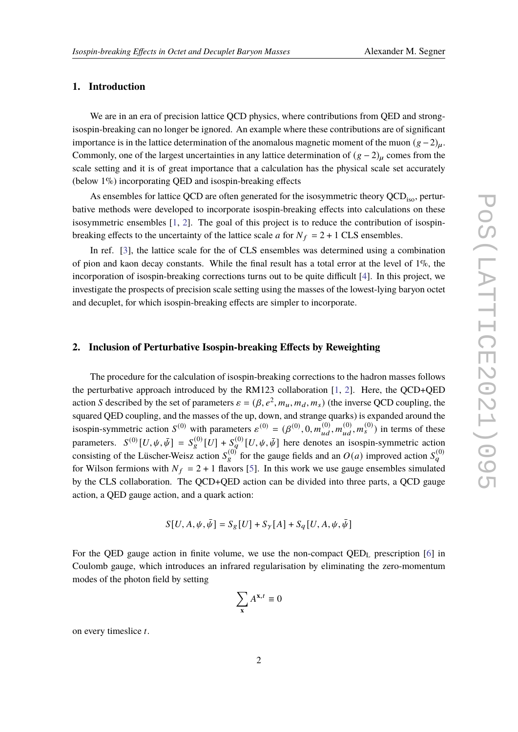### **1. Introduction**

We are in an era of precision lattice QCD physics, where contributions from QED and strongisospin-breaking can no longer be ignored. An example where these contributions are of significant importance is in the lattice determination of the anomalous magnetic moment of the muon  $(g-2)_{\mu}$ . Commonly, one of the largest uncertainties in any lattice determination of  $(g - 2)_{\mu}$  comes from the scale setting and it is of great importance that a calculation has the physical scale set accurately (below 1%) incorporating QED and isospin-breaking effects

As ensembles for lattice QCD are often generated for the isosymmetric theory  $\text{QCD}_{\text{iso}}$ , perturbative methods were developed to incorporate isospin-breaking effects into calculations on these isosymmetric ensembles [\[1,](#page-7-0) [2\]](#page-7-1). The goal of this project is to reduce the contribution of isospinbreaking effects to the uncertainty of the lattice scale  $a$  for  $N_f = 2 + 1$  CLS ensembles.

In ref. [\[3\]](#page-7-2), the lattice scale for the of CLS ensembles was determined using a combination of pion and kaon decay constants. While the final result has a total error at the level of  $1\%$ , the incorporation of isospin-breaking corrections turns out to be quite difficult [\[4\]](#page-7-3). In this project, we investigate the prospects of precision scale setting using the masses of the lowest-lying baryon octet and decuplet, for which isospin-breaking effects are simpler to incorporate.

# **2. Inclusion of Perturbative Isospin-breaking Effects by Reweighting**

The procedure for the calculation of isospin-breaking corrections to the hadron masses follows the perturbative approach introduced by the RM123 collaboration [\[1,](#page-7-0) [2\]](#page-7-1). Here, the QCD+QED action S described by the set of parameters  $\varepsilon = (\beta, e^2, m_u, m_d, m_s)$  (the inverse QCD coupling, the squared QED coupling, and the masses of the up, down, and strange quarks) is expanded around the isospin-symmetric action  $S^{(0)}$  with parameters  $\varepsilon^{(0)} = (\beta^{(0)}, 0, m_{ud}^{(0)}, m_{ud}^{(0)}, m_{s}^{(0)})$  in terms of these parameters.  $S^{(0)}[U,\psi,\bar{\psi}] = S^{(0)}_{g}[U] + S^{(0)}_{g}[U,\psi,\bar{\psi}]$  here denotes an isospin-symmetric action consisting of the Lüscher-Weisz action  $S_g^{(0)}$  for the gauge fields and an  $O(a)$  improved action  $S_g^{(0)}$ for Wilson fermions with  $N_f = 2 + 1$  flavors [\[5\]](#page-7-4). In this work we use gauge ensembles simulated by the CLS collaboration. The QCD+QED action can be divided into three parts, a QCD gauge action, a QED gauge action, and a quark action:

$$
S[U, A, \psi, \bar{\psi}] = S_g[U] + S_{\gamma}[A] + S_g[U, A, \psi, \bar{\psi}]
$$

For the QED gauge action in finite volume, we use the non-compact  $QED<sub>L</sub>$  prescription [\[6\]](#page-7-5) in Coulomb gauge, which introduces an infrared regularisation by eliminating the zero-momentum modes of the photon field by setting

$$
\sum_{\mathbf{x}} A^{\mathbf{x},t} \equiv 0
$$

on every timeslice t.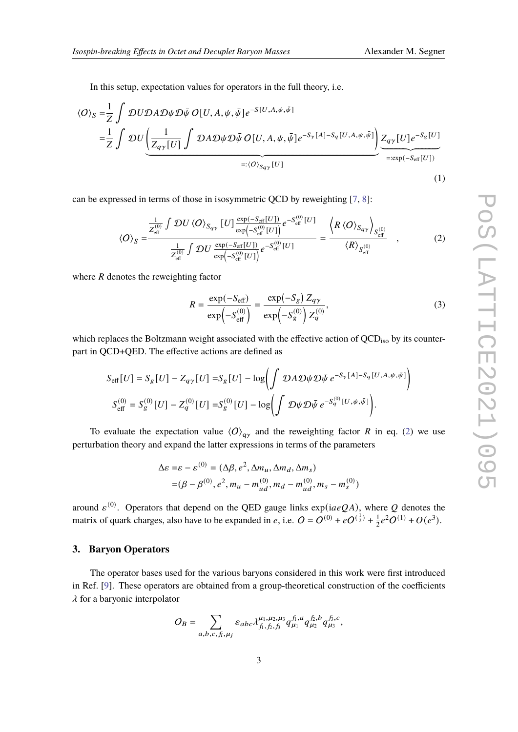In this setup, expectation values for operators in the full theory, i.e.

$$
\langle O \rangle_{S} = \frac{1}{Z} \int \mathcal{D}U \mathcal{D}A \mathcal{D}\psi \mathcal{D}\bar{\psi} O[U, A, \psi, \bar{\psi}] e^{-S[U, A, \psi, \bar{\psi}]}
$$
  
\n
$$
= \frac{1}{Z} \int \mathcal{D}U \underbrace{\left(\frac{1}{Z_{q\gamma}[U]} \int \mathcal{D}A \mathcal{D}\psi \mathcal{D}\bar{\psi} O[U, A, \psi, \bar{\psi}] e^{-S_{\gamma}[A] - S_{q}[U, A, \psi, \bar{\psi}]}\right)}_{=: \langle O \rangle_{S_{q\gamma}}[U]}
$$
  
\n
$$
=:\langle O \rangle_{S_{q\gamma}}[U]
$$
  
\n(1)

can be expressed in terms of those in isosymmetric QCD by reweighting [\[7,](#page-7-6) [8\]](#page-7-7):

$$
\langle O \rangle_{S} = \frac{\frac{1}{Z_{\text{eff}}^{(0)}} \int \mathcal{D}U \langle O \rangle_{S_{q\gamma}} [U] \frac{\exp(-S_{\text{eff}}[U])}{\exp(-S_{\text{eff}}^{(0)}[U])} e^{-S_{\text{eff}}^{(0)}[U]}}{\frac{1}{Z_{\text{eff}}^{(0)}} \int \mathcal{D}U \frac{\exp(-S_{\text{eff}}[U])}{\exp(-S_{\text{eff}}^{(0)}[U])} e^{-S_{\text{eff}}^{(0)}[U]} = \frac{\langle R \langle O \rangle_{S_{q\gamma}} \rangle_{S_{\text{eff}}^{(0)}}}{\langle R \rangle_{S_{\text{eff}}^{(0)}}} \quad , \tag{2}
$$

where  *denotes the reweighting factor* 

<span id="page-2-0"></span>
$$
R = \frac{\exp(-S_{\text{eff}})}{\exp(-S_{\text{eff}}^{(0)})} = \frac{\exp(-S_g) Z_{q\gamma}}{\exp(-S_g^{(0)}) Z_q^{(0)}},
$$
(3)

which replaces the Boltzmann weight associated with the effective action of  $QCD<sub>iso</sub>$  by its counterpart in QCD+QED. The effective actions are defined as

$$
S_{\text{eff}}[U] = S_g[U] - Z_{q\gamma}[U] = S_g[U] - \log \left( \int \mathcal{D}A \mathcal{D}\psi \mathcal{D}\bar{\psi} \ e^{-S_{\gamma}[A] - S_q[U, A, \psi, \bar{\psi}]} \right)
$$
  

$$
S_{\text{eff}}^{(0)} = S_g^{(0)}[U] - Z_q^{(0)}[U] = S_g^{(0)}[U] - \log \left( \int \mathcal{D}\psi \mathcal{D}\bar{\psi} \ e^{-S_q^{(0)}[U, \psi, \bar{\psi}]} \right).
$$

To evaluate the expectation value  $\langle O \rangle_{\text{av}}$  and the reweighting factor R in eq. [\(2\)](#page-2-0) we use perturbation theory and expand the latter expressions in terms of the parameters

$$
\Delta \varepsilon = \varepsilon - \varepsilon^{(0)} = (\Delta \beta, e^2, \Delta m_u, \Delta m_d, \Delta m_s) = (\beta - \beta^{(0)}, e^2, m_u - m_{ud}^{(0)}, m_d - m_{ud}^{(0)}, m_s - m_s^{(0)})
$$

around  $\varepsilon^{(0)}$ . Operators that depend on the QED gauge links  $\exp(iaeQA)$ , where Q denotes the matrix of quark charges, also have to be expanded in e, i.e.  $\ddot{O} = \dot{O}^{(0)} + e\dot{O}^{(\frac{1}{2})} + \frac{1}{2}$  $\frac{1}{2}e^2O^{(1)} + O(e^3)$ .

# <span id="page-2-1"></span>**3. Baryon Operators**

The operator bases used for the various baryons considered in this work were first introduced in Ref. [\[9\]](#page-7-8). These operators are obtained from a group-theoretical construction of the coefficients  $\lambda$  for a baryonic interpolator

$$
O_B = \sum_{a,b,c,f_i,\mu_j} \varepsilon_{abc} \lambda_{f_1,f_2,f_3}^{\mu_1,\mu_2,\mu_3} q_{\mu_1}^{f_1,a} q_{\mu_2}^{f_2,b} q_{\mu_3}^{f_3,c},
$$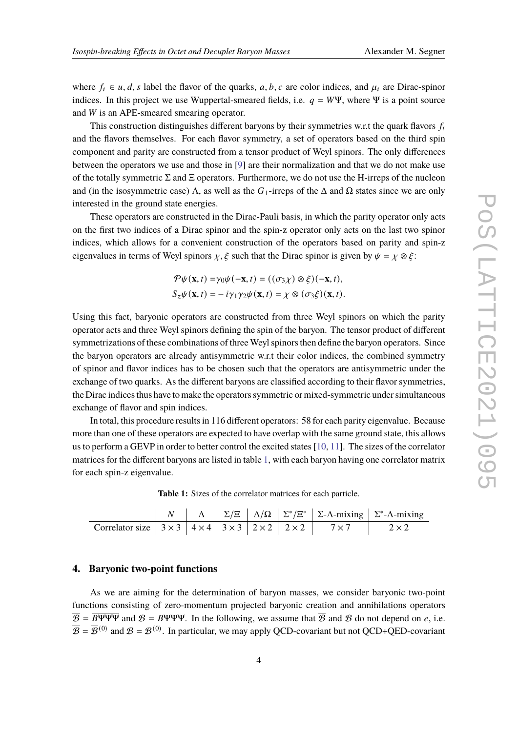where  $f_i \in u, d, s$  label the flavor of the quarks, a, b, c are color indices, and  $\mu_i$  are Dirac-spinor indices. In this project we use Wuppertal-smeared fields, i.e.  $q = W\Psi$ , where  $\Psi$  is a point source and  $W$  is an APE-smeared smearing operator.

This construction distinguishes different baryons by their symmetries w.r.t the quark flavors  $f_i$ and the flavors themselves. For each flavor symmetry, a set of operators based on the third spin component and parity are constructed from a tensor product of Weyl spinors. The only differences between the operators we use and those in [\[9\]](#page-7-8) are their normalization and that we do not make use of the totally symmetric  $\Sigma$  and  $\Xi$  operators. Furthermore, we do not use the H-irreps of the nucleon and (in the isosymmetric case)  $\Lambda$ , as well as the  $G_1$ -irreps of the  $\Delta$  and  $\Omega$  states since we are only interested in the ground state energies.

These operators are constructed in the Dirac-Pauli basis, in which the parity operator only acts on the first two indices of a Dirac spinor and the spin-z operator only acts on the last two spinor indices, which allows for a convenient construction of the operators based on parity and spin-z eigenvalues in terms of Weyl spinors  $\chi$ ,  $\xi$  such that the Dirac spinor is given by  $\psi = \chi \otimes \xi$ :

$$
\mathcal{P}\psi(\mathbf{x},t) = \gamma_0 \psi(-\mathbf{x},t) = ((\sigma_3 \chi) \otimes \xi)(-\mathbf{x},t),
$$
  
\n
$$
S_z \psi(\mathbf{x},t) = -i \gamma_1 \gamma_2 \psi(\mathbf{x},t) = \chi \otimes (\sigma_3 \xi)(\mathbf{x},t).
$$

Using this fact, baryonic operators are constructed from three Weyl spinors on which the parity operator acts and three Weyl spinors defining the spin of the baryon. The tensor product of different symmetrizations of these combinations of three Weyl spinors then define the baryon operators. Since the baryon operators are already antisymmetric w.r.t their color indices, the combined symmetry of spinor and flavor indices has to be chosen such that the operators are antisymmetric under the exchange of two quarks. As the different baryons are classified according to their flavor symmetries, the Dirac indices thus have to make the operators symmetric or mixed-symmetric under simultaneous exchange of flavor and spin indices.

In total, this procedure results in 116 different operators: 58 for each parity eigenvalue. Because more than one of these operators are expected to have overlap with the same ground state, this allows us to perform a GEVP in order to better control the excited states [\[10,](#page-7-9) [11\]](#page-7-10). The sizes of the correlator matrices for the different baryons are listed in table [1,](#page-3-0) with each baryon having one correlator matrix for each spin-z eigenvalue.

**Table 1:** Sizes of the correlator matrices for each particle.

<span id="page-3-0"></span>

|                                                                                                            |  |  |  | $\vert N \vert \Delta \vert \Sigma / \Xi \vert \Delta / \Omega \vert \Sigma^* / \Xi^* \vert \Sigma$ -A-mixing $\Sigma^*$ -A-mixing |
|------------------------------------------------------------------------------------------------------------|--|--|--|------------------------------------------------------------------------------------------------------------------------------------|
| Correlator size $3 \times 3$ $4 \times 4$ $3 \times 3$ $2 \times 2$ $2 \times 2$ $7 \times 7$ $2 \times 2$ |  |  |  |                                                                                                                                    |

# **4. Baryonic two-point functions**

As we are aiming for the determination of baryon masses, we consider baryonic two-point functions consisting of zero-momentum projected baryonic creation and annihilations operators  $\overline{\mathcal{B}} = \overline{\mathcal{B}\Psi\Psi\Psi}$  and  $\mathcal{B} = \mathcal{B}\Psi\Psi\Psi$ . In the following, we assume that  $\overline{\mathcal{B}}$  and  $\mathcal{B}$  do not depend on e, i.e.  $\overline{B} = \overline{B}^{(0)}$  and  $B = B^{(0)}$ . In particular, we may apply QCD-covariant but not QCD+QED-covariant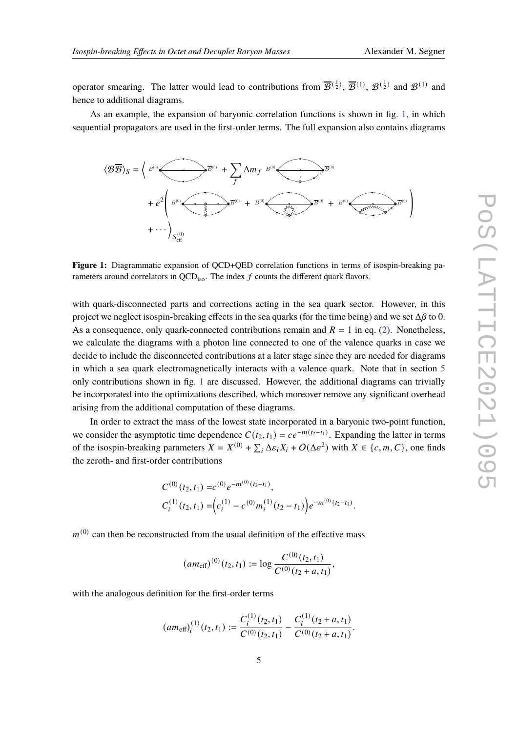operator smearing. The latter would lead to contributions from  $\overline{B}^{(\frac{1}{2})}$ ,  $\overline{B}^{(1)}$ ,  $\mathcal{B}^{(\frac{1}{2})}$  and  $\mathcal{B}^{(1)}$  and hence to additional diagrams.

As an example, the expansion of baryonic correlation functions is shown in fig. [1,](#page-4-0) in which sequential propagators are used in the first-order terms. The full expansion also contains diagrams

<span id="page-4-0"></span>

**Figure 1:** Diagrammatic expansion of QCD+QED correlation functions in terms of isospin-breaking parameters around correlators in  $QCD_{iso}$ . The index  $f$  counts the different quark flavors.

with quark-disconnected parts and corrections acting in the sea quark sector. However, in this project we neglect isospin-breaking effects in the sea quarks (for the time being) and we set  $\Delta\beta$  to 0. As a consequence, only quark-connected contributions remain and  $R = 1$  in eq. [\(2\)](#page-2-0). Nonetheless, we calculate the diagrams with a photon line connected to one of the valence quarks in case we decide to include the disconnected contributions at a later stage since they are needed for diagrams in which a sea quark electromagnetically interacts with a valence quark. Note that in section [5](#page-5-0) only contributions shown in fig. [1](#page-4-0) are discussed. However, the additional diagrams can trivially be incorporated into the optimizations described, which moreover remove any significant overhead arising from the additional computation of these diagrams.

In order to extract the mass of the lowest state incorporated in a baryonic two-point function, we consider the asymptotic time dependence  $C(t_2, t_1) = ce^{-m(t_2-t_1)}$ . Expanding the latter in terms of the isospin-breaking parameters  $X = X^{(0)} + \sum_i \Delta \varepsilon_i X_i + O(\Delta \varepsilon^2)$  with  $X \in \{c, m, C\}$ , one finds the zeroth- and first-order contributions

$$
C^{(0)}(t_2, t_1) = c^{(0)} e^{-m^{(0)}(t_2 - t_1)},
$$
  
\n
$$
C_i^{(1)}(t_2, t_1) = \left(c_i^{(1)} - c^{(0)} m_i^{(1)}(t_2 - t_1)\right) e^{-m^{(0)}(t_2 - t_1)}.
$$

 $m^{(0)}$  can then be reconstructed from the usual definition of the effective mass

$$
(am_{\text{eff}})^{(0)}(t_2, t_1) := \log \frac{C^{(0)}(t_2, t_1)}{C^{(0)}(t_2 + a, t_1)},
$$

with the analogous definition for the first-order terms

$$
(am_{\text{eff}})_i^{(1)}(t_2, t_1) := \frac{C_i^{(1)}(t_2, t_1)}{C^{(0)}(t_2, t_1)} - \frac{C_i^{(1)}(t_2 + a, t_1)}{C^{(0)}(t_2 + a, t_1)}.
$$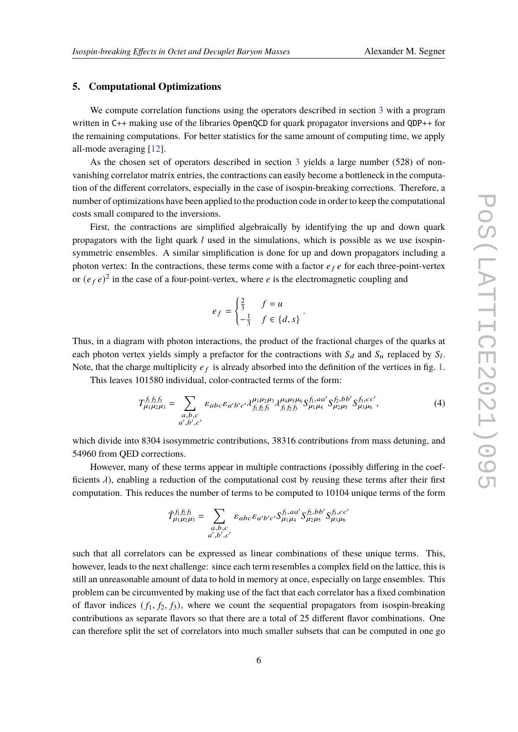# <span id="page-5-0"></span>**5. Computational Optimizations**

We compute correlation functions using the operators described in section [3](#page-2-1) with a program written in C++ making use of the libraries OpenQCD for quark propagator inversions and QDP++ for the remaining computations. For better statistics for the same amount of computing time, we apply all-mode averaging [\[12\]](#page-7-11).

As the chosen set of operators described in section [3](#page-2-1) yields a large number (528) of nonvanishing correlator matrix entries, the contractions can easily become a bottleneck in the computation of the different correlators, especially in the case of isospin-breaking corrections. Therefore, a number of optimizations have been applied to the production code in order to keep the computational costs small compared to the inversions.

First, the contractions are simplified algebraically by identifying the up and down quark propagators with the light quark  $l$  used in the simulations, which is possible as we use isospinsymmetric ensembles. A similar simplification is done for up and down propagators including a photon vertex: In the contractions, these terms come with a factor  $e_f e$  for each three-point-vertex or  $(e_f e)^2$  in the case of a four-point-vertex, where e is the electromagnetic coupling and

$$
e_f = \begin{cases} \frac{2}{3} & f = u \\ -\frac{1}{3} & f \in \{d, s\} \end{cases}
$$

Thus, in a diagram with photon interactions, the product of the fractional charges of the quarks at each photon vertex yields simply a prefactor for the contractions with  $S_d$  and  $S_u$  replaced by  $S_l$ . Note, that the charge multiplicity  $e_f$  is already absorbed into the definition of the vertices in fig. [1.](#page-4-0)

This leaves 101580 individual, color-contracted terms of the form:

$$
T_{\mu_1\mu_2\mu_3}^{\hat{f}_1\hat{f}_2\hat{f}_3} = \sum_{\substack{a,b,c\\a',b',c'}} \varepsilon_{abc} \varepsilon_{a'b'c'} \lambda_{f_1\hat{f}_2\hat{f}_3}^{\mu_1\mu_2\mu_3} \lambda_{f_1\hat{f}_2\hat{f}_3}^{\mu_4\mu_5\mu_6} S_{\mu_1\mu_4}^{\hat{f}_1\hat{f}_2\hat{f}_3} S_{\mu_2\mu_5}^{\hat{f}_3\hat{f}_3,cc'}, \tag{4}
$$

<span id="page-5-1"></span>.

which divide into 8304 isosymmetric contributions, 38316 contributions from mass detuning, and 54960 from QED corrections.

However, many of these terms appear in multiple contractions (possibly differing in the coefficients  $\lambda$ ), enabling a reduction of the computational cost by reusing these terms after their first computation. This reduces the number of terms to be computed to 10104 unique terms of the form

$$
\tilde{T}^{\hat{f}_1 \hat{f}_2 \hat{f}_3}_{\mu_1 \mu_2 \mu_3} = \sum_{\substack{a,b,c \\ a',b',c'}} \varepsilon_{abc} \varepsilon_{a'b'c'} S^{\hat{f}_1,aa'}_{\mu_1 \mu_4} S^{\hat{f}_2,bb'}_{\mu_2 \mu_5} S^{\hat{f}_3,cc'}_{\mu_3 \mu_6}
$$

such that all correlators can be expressed as linear combinations of these unique terms. This, however, leads to the next challenge: since each term resembles a complex field on the lattice, this is still an unreasonable amount of data to hold in memory at once, especially on large ensembles. This problem can be circumvented by making use of the fact that each correlator has a fixed combination of flavor indices  $(f_1, f_2, f_3)$ , where we count the sequential propagators from isospin-breaking contributions as separate flavors so that there are a total of 25 different flavor combinations. One can therefore split the set of correlators into much smaller subsets that can be computed in one go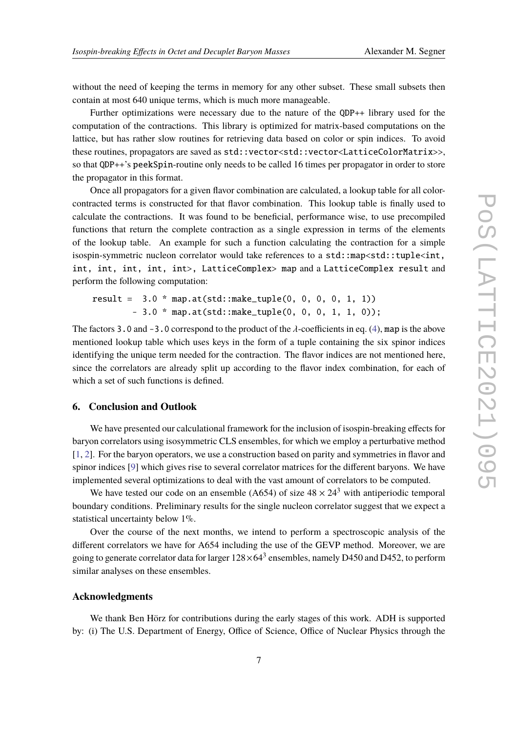without the need of keeping the terms in memory for any other subset. These small subsets then contain at most 640 unique terms, which is much more manageable.

Further optimizations were necessary due to the nature of the QDP++ library used for the computation of the contractions. This library is optimized for matrix-based computations on the lattice, but has rather slow routines for retrieving data based on color or spin indices. To avoid these routines, propagators are saved as std::vector<std::vector<LatticeColorMatrix>>, so that QDP++'s peekSpin-routine only needs to be called 16 times per propagator in order to store the propagator in this format.

Once all propagators for a given flavor combination are calculated, a lookup table for all colorcontracted terms is constructed for that flavor combination. This lookup table is finally used to calculate the contractions. It was found to be beneficial, performance wise, to use precompiled functions that return the complete contraction as a single expression in terms of the elements of the lookup table. An example for such a function calculating the contraction for a simple isospin-symmetric nucleon correlator would take references to a std::map<std::tuple<int, int, int, int, int, int>, LatticeComplex> map and a LatticeComplex result and perform the following computation:

result = 3.0 \* map.at(std::make\_tuple(0, 0, 0, 0, 1, 1)) - 3.0 \* map.at(std::make\_tuple(0, 0, 0, 1, 1, 0));

The factors 3.0 and -3.0 correspond to the product of the  $\lambda$ -coefficients in eq. [\(4\)](#page-5-1), map is the above mentioned lookup table which uses keys in the form of a tuple containing the six spinor indices identifying the unique term needed for the contraction. The flavor indices are not mentioned here, since the correlators are already split up according to the flavor index combination, for each of which a set of such functions is defined.

## **6. Conclusion and Outlook**

We have presented our calculational framework for the inclusion of isospin-breaking effects for baryon correlators using isosymmetric CLS ensembles, for which we employ a perturbative method [\[1,](#page-7-0) [2\]](#page-7-1). For the baryon operators, we use a construction based on parity and symmetries in flavor and spinor indices [\[9\]](#page-7-8) which gives rise to several correlator matrices for the different baryons. We have implemented several optimizations to deal with the vast amount of correlators to be computed.

We have tested our code on an ensemble (A654) of size  $48 \times 24^3$  with antiperiodic temporal boundary conditions. Preliminary results for the single nucleon correlator suggest that we expect a statistical uncertainty below 1%.

Over the course of the next months, we intend to perform a spectroscopic analysis of the different correlators we have for A654 including the use of the GEVP method. Moreover, we are going to generate correlator data for larger  $128\times 64^3$  ensembles, namely D450 and D452, to perform similar analyses on these ensembles.

# **Acknowledgments**

We thank Ben Hörz for contributions during the early stages of this work. ADH is supported by: (i) The U.S. Department of Energy, Office of Science, Office of Nuclear Physics through the